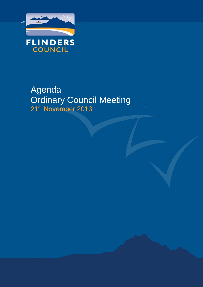

# Agenda Ordinary Council Meeting 21<sup>st</sup> November 2013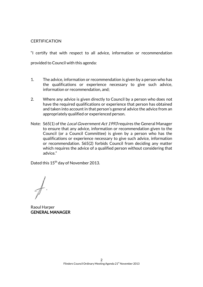# **CERTIFICATION**

"I certify that with respect to all advice, information or recommendation provided to Council with this agenda:

- 1. The advice, information or recommendation is given by a person who has the qualifications or experience necessary to give such advice, information or recommendation, and;
- 2. Where any advice is given directly to Council by a person who does not have the required qualifications or experience that person has obtained and taken into account in that person's general advice the advice from an appropriately qualified or experienced person.
- Note: S65(1) of the *Local Government Act 1993* requires the General Manager to ensure that any advice, information or recommendation given to the Council (or a Council Committee) is given by a person who has the qualifications or experience necessary to give such advice, information or recommendation. S65(2) forbids Council from deciding any matter which requires the advice of a qualified person without considering that advice."

Dated this 15<sup>th</sup> day of November 2013.

Raoul Harper GENERAL MANAGER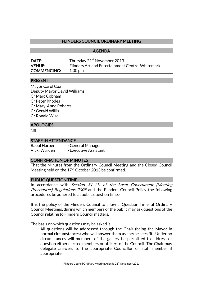# FLINDERS COUNCIL ORDINARY MEETING

 AGENDA

| <b>DATE:</b>       | Thursday 21 <sup>st</sup> November 2013          |
|--------------------|--------------------------------------------------|
| <b>VENUE:</b>      | Flinders Art and Entertainment Centre, Whitemark |
| <b>COMMENCING:</b> | $1.00 \,\mathrm{pm}$                             |

### PRESENT

Mayor Carol Cox Deputy Mayor David Williams Cr Marc Cobham Cr Peter Rhodes Cr Mary-Anne Roberts Cr Gerald Willis Cr Ronald Wise

### APOLOGIES

Nil

#### STAFF IN ATTENDANCE

| Raoul Harper | - General Manager     |
|--------------|-----------------------|
| Vicki Warden | - Executive Assistant |

#### CONFIRMATION OF MINUTES

That the Minutes from the Ordinary Council Meeting and the Closed Council Meeting held on the  $17<sup>th</sup>$  October 2013 be confirmed.

#### PUBLIC QUESTION TIME

In accordance with Section 31 (1) of the Local Government (Meeting Procedures) Regulations 2005 and the Flinders Council Policy the following procedures be adhered to at public question time:-

It is the policy of the Flinders Council to allow a 'Question Time' at Ordinary Council Meetings, during which members of the public may ask questions of the Council relating to Flinders Council matters.

The basis on which questions may be asked is:

1. All questions will be addressed through the Chair (being the Mayor in normal circumstances) who will answer them as she/he sees fit. Under no circumstances will members of the gallery be permitted to address or question either elected members or officers of the Council. The Chair may delegate answers to the appropriate Councillor or staff member if appropriate.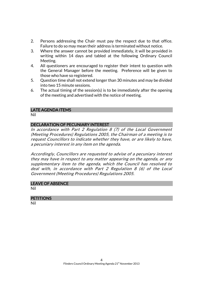- 2. Persons addressing the Chair must pay the respect due to that office. Failure to do so may mean their address is terminated without notice.
- 3. Where the answer cannot be provided immediately, it will be provided in writing within 14 days and tabled at the following Ordinary Council Meeting.
- 4. All questioners are encouraged to register their intent to question with the General Manager before the meeting. Preference will be given to those who have so registered.
- 5. Question time shall not extend longer than 30 minutes and may be divided into two 15 minute sessions.
- 6. The actual timing of the session(s) is to be immediately after the opening of the meeting and advertised with the notice of meeting.

#### LATE AGENDA ITEMS

Nil

### DECLARATION OF PECUNIARY INTEREST

In accordance with Part 2 Regulation 8 (7) of the Local Government (Meeting Procedures) Regulations 2005, the Chairman of a meeting is to request Councillors to indicate whether they have, or are likely to have, a pecuniary interest in any item on the agenda.

Accordingly, Councillors are requested to advise of a pecuniary interest they may have in respect to any matter appearing on the agenda, or any supplementary item to the agenda, which the Council has resolved to deal with, in accordance with Part 2 Regulation 8 (6) of the Local Government (Meeting Procedures) Regulations 2005.

#### LEAVE OF ABSENCE

Nil

#### **PETITIONS**

Nil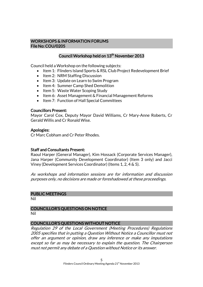#### WORKSHOPS & INFORMATION FORUMS File No: COU/0205

# Council Workshop held on 13<sup>th</sup> November 2013

Council held a Workshop on the following subjects:

- Item 1: Flinders Island Sports & RSL Club Project Redevelopment Brief
- Item 2: NRM Staffing Discussion
- Item 3: Update on Learn to Swim Program
- Item 4: Summer Camp Shed Demolition
- Item 5: Waste Water Scoping Study
- Item 6: Asset Management & Financial Management Reforms
- Item 7: Function of Hall Special Committees

#### Councillors Present:

Mayor Carol Cox, Deputy Mayor David Williams, Cr Mary-Anne Roberts, Cr Gerald Willis and Cr Ronald Wise.

### Apologies:

Cr Marc Cobham and Cr Peter Rhodes.

# Staff and Consultants Present:

Raoul Harper (General Manager), Kim Hossack (Corporate Services Manager), Jana Harper (Community Development Coordinator) (Item 3 only) and Jacci Viney (Development Services Coordinator) (Items 1, 2, 4 & 5).

As workshops and information sessions are for information and discussion purposes only, no decisions are made or foreshadowed at these proceedings.

#### PUBLIC MEETINGS

Nil

# COUNCILLOR'S QUESTIONS ON NOTICE

Nil

# COUNCILLOR'S QUESTIONS WITHOUT NOTICE

Regulation 29 of the Local Government (Meeting Procedures) Regulations 2005 specifies that in putting a Question Without Notice a Councillor must not offer an argument or opinion, draw any inference or make any imputations except so far as may be necessary to explain the question. The Chairperson must not permit any debate of a Question without Notice or its answer.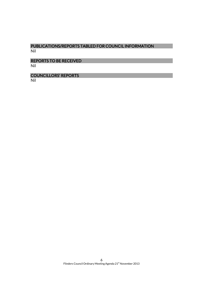# PUBLICATIONS/REPORTS TABLED FOR COUNCIL INFORMATION Nil

REPORTS TO BE RECEIVED Nil

COUNCILLORS' REPORTS

Nil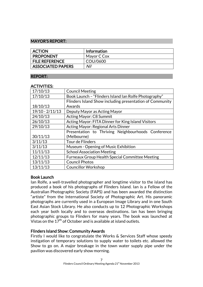## MAYOR'S REPORT:

| <b>ACTION</b>            | Information |
|--------------------------|-------------|
| <b>PROPONENT</b>         | Mayor C Cox |
| <b>FILE REFERENCE</b>    | COU/0600    |
| <b>ASSOCIATED PAPERS</b> | Nil         |

#### REPORT:

#### ACTIVITIES:

| 17/10/13          |                                                          |  |
|-------------------|----------------------------------------------------------|--|
|                   | <b>Council Meeting</b>                                   |  |
| 17/10/13          | Book Launch - "Flinders Island Ian Rolfe Photography"    |  |
|                   | Flinders Island Show including presentation of Community |  |
| 18/10/13          | Awards                                                   |  |
| $19/10 - 2/11/13$ | Deputy Mayor as Acting Mayor                             |  |
| 24/10/13          | Acting Mayor: C8 Summit                                  |  |
| 26/10/13          | Acting Mayor: FITA Dinner for King Island Visitors       |  |
| 29/10/13          | Acting Mayor: Regional Arts Dinner                       |  |
|                   | Presentation to Thriving Neighbourhoods Conference       |  |
| 30/11/13          | (Melbourne)                                              |  |
| 3/11/13           | Tour de Flinders                                         |  |
| 3/11/13           | Museum - Opening of Music Exhibition                     |  |
| 11/11/13          | <b>School Association Meeting</b>                        |  |
| 12/11/13          | <b>Furneaux Group Health Special Committee Meeting</b>   |  |
| 13/11/13          | <b>Council Photos</b>                                    |  |
| 13/11/13          | <b>Councillor Workshop</b>                               |  |

# Book Launch

Ian Rolfe, a well-travelled photographer and longtime visitor to the island has produced a book of his photographs of Flinders Island. Ian is a Fellow of the Australian Photographic Society (FAPS) and has been awarded the distinction "artiste" from the International Society of Photographic Art. His panoramic photographs are currently used in a European Image Library and in one South East Asian Stock Library. He also conducts up to 12 Photographic Workshops each year both locally and to overseas destinations. Ian has been bringing photographic groups to Flinders for many years. The book was launched at Vistas on the  $17^{\text{th}}$  of October and is available at island outlets.

# Flinders Island Show: Community Awards

Firstly I would like to congratulate the Works & Services Staff whose speedy instigation of temporary solutions to supply water to toilets etc. allowed the Show to go on. A major breakage in the town water supply pipe under the pavilion was discovered early show morning.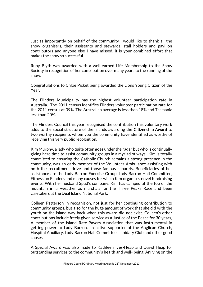Just as importantly on behalf of the community I would like to thank all the show organisers, their assistants and stewards, stall holders and pavilion contributors and anyone else I have missed, it is your combined effort that makes the show so successful.

Ruby Blyth was awarded with a well-earned Life Membership to the Show Society in recognition of her contribution over many years to the running of the show.

Congratulations to Chloe Picket being awarded the Lions Young Citizen of the Year.

The Flinders Municipality has the highest volunteer participation rate in Australia. The 2011 census identifies Flinders volunteer participation rate for the 2011 census at 39%. The Australian average is less than 18% and Tasmania less than 20%.

The Flinders Council this year recognised the contribution this voluntary work adds to the social structure of the islands awarding the Citizenship Award to two worthy recipients whom you the community have identified as worthy of receiving this very public recognition.

Kim Murphy, a lady who quite often goes under the radar but who is continually giving here time to assist community groups in a myriad of ways. Kim is totally committed to ensuring the Catholic Church remains a strong presence in the community, was an early member of the Volunteer Ambulance assisting with both the recruitment drive and those famous cabarets. Beneficiaries of her assistance are the Lady Barron Exercise Group, Lady Barron Hall Committee, Fitness on Flinders and many causes for which Kim organises novel fundraising events. With her husband Spud's company, Kim has camped at the top of the mountain in all-weather as marshals for the Three Peaks Race and been caretakers at the Deal Island National Park.

Colleen Patterson in recognition, not just for her continuing contribution to community groups, but also for the huge amount of work that she did with the youth on the island way back when this award did not exist. Colleen's other contributions include freely given service as a Justice of the Peace for 30 years, A member of the Island Rate-Payers Association that was instrumental in getting power to Lady Barron, an active supporter of the Anglican Church, Hospital Auxiliary, Lady Barron Hall Committee, Lapidary Club and other good causes.

A Special Award was also made to Kathleen Ives-Heap and David Heap for outstanding services to the community's health and well- being. Arriving on the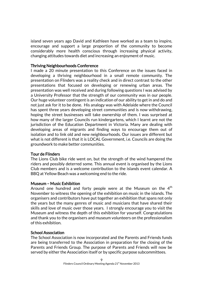island seven years ago David and Kathleen have worked as a team to inspire, encourage and support a large proportion of the community to become considerably more health conscious through increasing physical activity, changing attitudes towards diet and increasing an enjoyment of music.

## Thriving Neighbourhoods Conference

I made a 20 minute presentation to this Conference on the issues faced in developing a thriving neighbourhood in a small remote community. The presentation on Flinders was a reality check and in direct contrast to the other presentations that focused on developing or renewing urban areas. The presentation was well received and during following questions I was advised by a University Professor that the strength of our community was in our people. Our huge volunteer contingent is an indication of our ability to get in and do and not just ask for it to be done. His analogy was with Adelaide where the Council has spent three years developing street communities and is now withdrawing, hoping the street businesses will take ownership of them. I was surprised at how many of the larger Councils run kindergartens, which I learnt are not the jurisdiction of the Education Department in Victoria. Many are dealing with developing areas of migrants and finding ways to encourage them out of isolation and to link old and new neighbourhoods. Our issues are different but what is not different is that it is LOCAL Government, i.e. Councils are doing the groundwork to make better communities.

# Tour de Flinders

The Lions Club bike ride went on, but the strength of the wind hampered the riders and possibly deterred some. This annual event is organised by the Lions Club members and is a welcome contribution to the islands event calendar. A BBQ at Yellow Beach was a welcoming end to the ride.

#### Museum – Music Exhibition

Around one hundred and forty people were at the Museum on the  $4<sup>th</sup>$ November to witness the opening of the exhibition on music in the islands. The organisers and contributors have put together an exhibition that spans not only the years but the many genres of music and musicians that have shared their skills and love of music over those years. I strongly encourage you to visit the Museum and witness the depth of this exhibition for yourself. Congratulations and thank you to the organisers and museum volunteers on the professionalism of this exhibition.

# School Association

The School Association is now incorporated and the Parents and Friends funds are being transferred to the Association in preparation for the closing of the Parents and Friends Group. The purpose of Parents and Friends will now be served by either the Association itself or by specific purpose subcommittees.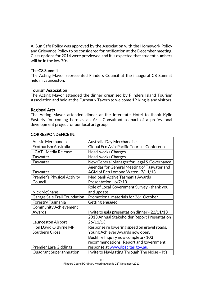A Sun Safe Policy was approved by the Association with the Homework Policy and Grievance Policy to be considered for ratification at the December meeting. Class options for 2014 were previewed and it is expected that student numbers will be in the low 70s.

#### The C8 Summit

The Acting Mayor represented Flinders Council at the inaugural C8 Summit held in Launceston.

#### Tourism Association

The Acting Mayor attended the dinner organised by Flinders Island Tourism Association and held at the Furneaux Tavern to welcome 19 King Island visitors.

### Regional Arts

The Acting Mayor attended dinner at the Interstate Hotel to thank Kylie Easterly for coming here as an Arts Consultant as part of a professional development project for our local art group.

| <b>Aussie Merchandise</b>          | Australia Day Merchandise                          |
|------------------------------------|----------------------------------------------------|
| Ecotourism Australia               | Global Eco Asia-Pacific Tourism Conference         |
| <b>LGAT - Media Release</b>        | Head-works Charges                                 |
| <b>Taswater</b>                    | <b>Head-works Charges</b>                          |
| <b>Taswater</b>                    | New General Manager for Legal & Governance         |
|                                    | Agendas for General Meeting of Taswater and        |
| <b>Taswater</b>                    | AGM of Ben Lomond Water - 7/11/13                  |
| <b>Premier's Physical Activity</b> | Medibank Active Tasmania Awards                    |
| Council                            | Presentation - 6/7/13                              |
|                                    | Role of Local Government Survey - thank you        |
| Nick McShane                       | and update                                         |
| Garage Sale Trail Foundation       | Promotional materials for 26 <sup>th</sup> October |
| <b>Forestry Tasmania</b>           | Getting engaged                                    |
| <b>Community Achievement</b>       |                                                    |
| Awards                             | Invite to gala presentation dinner - 22/11/13      |
|                                    | 2013 Annual Stakeholder Report Presentation        |
| Launceston Airport                 | 26/11/13                                           |
| Hon David O'Byrne MP               | Response re lowering speed on gravel roads.        |
| <b>Southern Cross</b>              | Young Achiever Awards now open.                    |
|                                    | Bushfire Inquiry now complete - 103                |
|                                    | recommendations. Report and government             |
| <b>Premier Lara Giddings</b>       | response at www.dpac.tas.gov.au.                   |
| <b>Quadrant Superannuation</b>     | Invite to Navigating Through The Noise - It's      |

### CORRESPONDENCE IN: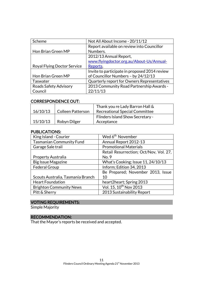| Scheme                             | Not All About Income - 20/11/12               |
|------------------------------------|-----------------------------------------------|
|                                    | Report available on review into Councillor    |
| Hon Brian Green MP                 | Numbers.                                      |
|                                    | 2012/13 Annual Report,                        |
|                                    | www.flyingdoctor.org.au/About-Us/Annual-      |
| <b>Royal Flying Doctor Service</b> | Reports.                                      |
|                                    | Invite to participate in proposed 2014 review |
| Hon Brian Green MP                 | of Councillor Numbers - by 24/12/13           |
| Taswater                           | Quarterly report for Owners Representatives   |
| Roads Safety Advisory              | 2013 Community Road Partnership Awards -      |
| Council                            | 22/11/13                                      |

# CORRESPONDENCE OUT:

|          |                          | Thank you re Lady Barron Hall &         |
|----------|--------------------------|-----------------------------------------|
| 16/10/13 | <b>Colleen Patterson</b> | Recreational Special Committee          |
|          |                          | <b>Flinders Island Show Secretary -</b> |
| 15/10/13 | Robyn Dilger             | Acceptance                              |

### PUBLICATIONS:

| King Island - Courier             | Wed 6 <sup>th</sup> November           |
|-----------------------------------|----------------------------------------|
| <b>Tasmanian Community Fund</b>   | Annual Report 2012-13                  |
| Garage Sale trail                 | <b>Promotional Materials</b>           |
|                                   | Retail Resurrection; Oct/Nov, Vol. 27, |
| <b>Property Australia</b>         | No. 9                                  |
| <b>Big Issue Magazine</b>         | What's Cooking; Issue 11, 24/10/13     |
| <b>Federal Group</b>              | Inform; Edition 34, 2013               |
|                                   | Be Prepared; November 2013, Issue      |
| Scouts Australia, Tasmania Branch | 10                                     |
| <b>Heart Foundation</b>           | heart2heart; Spring 2013               |
| <b>Brighton Community News</b>    | Vol. 15, 10 <sup>th</sup> Nov 2013     |
| Pitt & Sherry                     | 2013 Sustainability Report             |

# VOTING REQUIREMENTS:

Simple Majority

# RECOMMENDATION:

That the Mayor's reports be received and accepted.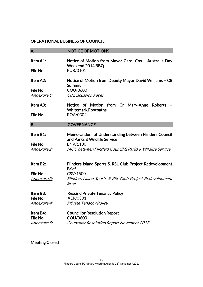# OPERATIONAL BUSINESS OF COUNCIL

| A.                             | <b>NOTICE OF MOTIONS</b>                                                             |
|--------------------------------|--------------------------------------------------------------------------------------|
| Item A1:                       | Notice of Motion from Mayor Carol Cox - Australia Day                                |
| File No:                       | Weekend 2014 BBQ<br>PUB/0101                                                         |
|                                |                                                                                      |
| Item A2:                       | Notice of Motion from Deputy Mayor David Williams - C8<br>Summit                     |
| File No:                       | COU/0600                                                                             |
| <u>Annexure 1:</u>             | <b>C8 Discussion Paper</b>                                                           |
| Item A3:                       | Notice of Motion from Cr Mary-Anne<br>Roberts<br><b>Whitemark Footpaths</b>          |
| File No:                       | ROA/0302                                                                             |
| <b>B.</b>                      | <b>GOVERNANCE</b>                                                                    |
|                                |                                                                                      |
| Item B1:                       | Memorandum of Understanding between Flinders Council<br>and Parks & Wildlife Service |
| File No:                       | ENV/1100                                                                             |
| <u>Annexure 2:</u>             | MOU between Flinders Council & Parks & Wildlife Service                              |
| Item B2:                       | Flinders Island Sports & RSL Club Project Redevelopment                              |
|                                | <b>Brief</b>                                                                         |
| File No:                       | CSV/1500                                                                             |
| <u> Annexure 3:</u>            | Flinders Island Sports & RSL Club Project Redevelopment<br><b>Brief</b>              |
| Item B3:                       | <b>Rescind Private Tenancy Policy</b>                                                |
| File No:<br><u>Annexure 4:</u> | AER/0301<br><b>Private Tenancy Policy</b>                                            |
|                                |                                                                                      |
| Item B4:                       | <b>Councillor Resolution Report</b>                                                  |
| File No:                       | COU/0600                                                                             |
| <u> Annexure 5:</u>            | Councillor Resolution Report November 2013                                           |
|                                |                                                                                      |

Meeting Closed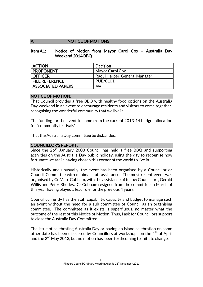## A. NOTICE OF MOTIONS

#### Item A1: Notice of Motion from Mayor Carol Cox – Australia Day Weekend 2014 BBQ

| <b>ACTION</b>            | <b>Decision</b>               |
|--------------------------|-------------------------------|
| <b>PROPONENT</b>         | Mayor Carol Cox               |
| <b>OFFICER</b>           | Raoul Harper, General Manager |
| <b>FILE REFERENCE</b>    | PUB/0101                      |
| <b>ASSOCIATED PAPERS</b> | Nil                           |

#### NOTICE OF MOTION:

That Council provides a free BBQ with healthy food options on the Australia Day weekend in an event to encourage residents and visitors to come together, recognising the wonderful community that we live in.

The funding for the event to come from the current 2013-14 budget allocation for "community festivals".

That the Australia Day committee be disbanded.

#### COUNCILLOR'S REPORT:

Since the  $26<sup>th</sup>$  January 2008 Council has held a free BBQ and supporting activities on the Australia Day public holiday, using the day to recognise how fortunate we are in having chosen this corner of the world to live in.

Historically and unusually, the event has been organised by a Councillor or Council Committee with minimal staff assistance. The most recent event was organised by Cr Marc Cobham, with the assistance of fellow Councillors, Gerald Willis and Peter Rhodes. Cr Cobham resigned from the committee in March of this year having played a lead role for the previous 4 years.

Council currently has the staff capability, capacity and budget to manage such an event without the need for a sub committee of Council as an organising committee. The committee as it exists is superfluous, no matter what the outcome of the rest of this Notice of Motion. Thus, I ask for Councillors support to close the Australia Day Committee.

The issue of celebrating Australia Day or having an island celebration on some other date has been discussed by Councillors at workshops on the  $4<sup>th</sup>$  of April and the  $2^{nd}$  May 2013, but no motion has been forthcoming to initiate change.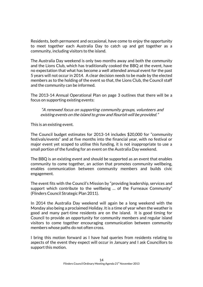Residents, both permanent and occasional, have come to enjoy the opportunity to meet together each Australia Day to catch up and get together as a community, including visitors to the island.

The Australia Day weekend is only two months away and both the community and the Lions Club, which has traditionally cooked the BBQ at the event, have no expectation that what has become a well attended annual event for the past 5 years will not occur in 2014. A clear decision needs to be made by the elected members as to the holding of the event so that, the Lions Club, the Council staff and the community can be informed.

The 2013-14 Annual Operational Plan on page 3 outlines that there will be a focus on supporting existing events:

"A renewed focus on supporting community groups, volunteers and existing events on the island to grow and flourish will be provided."

This is an existing event.

The Council budget estimates for 2013-14 includes \$20,000 for "community festivals/events" and at five months into the financial year, with no festival or major event yet scoped to utilise this funding, it is not inappropriate to use a small portion of the funding for an event on the Australia Day weekend.

The BBQ is an existing event and should be supported as an event that enables community to come together, an action that promotes community wellbeing, enables communication between community members and builds civic engagement.

The event fits with the Council's Mission by "providing leadership, services and support which contribute to the wellbeing … of the Furneaux Community" (Flinders Council Strategic Plan 2011).

In 2014 the Australia Day weekend will again be a long weekend with the Monday also being a proclaimed Holiday. It is a time of year when the weather is good and many part-time residents are on the island. It is good timing for Council to provide an opportunity for community members and regular island visitors to come together encouraging communication between community members whose paths do not often cross.

I bring this motion forward as I have had queries from residents relating to aspects of the event they expect will occur in January and I ask Councillors to support this motion.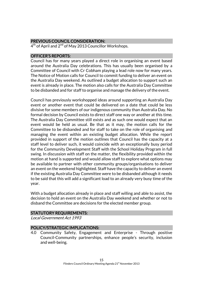# PREVIOUS COUNCIL CONSIDERATION:

4<sup>th</sup> of April and 2<sup>nd</sup> of May 2013 Councillor Workshops.

# OFFICER'S REPORTS:

Council has for many years played a direct role in organising an event based around the Australia Day celebrations. This has usually been organised by a Committee of Council with Cr Cobham playing a lead role now for many years. The Notice of Motion calls for Council to commit funding to deliver an event on the Australia Day weekend. As outlined a budget allocation to support such an event is already in place. The motion also calls for the Australia Day Committee to be disbanded and for staff to organise and manage the delivery of the event.

Council has previously workshopped ideas around supporting an Australia Day event or another event that could be delivered on a date that could be less divisive for some members of our indigenous community than Australia Day. No formal decision by Council exists to direct staff one way or another at this time. The Australia Day Committee still exists and as such one would expect that an event would be held as usual. Be that as it may, the motion calls for the Committee to be disbanded and for staff to take on the role of organising and managing the event within an existing budget allocation. While the report provided in support of the motion outlines that Council has the capacity at a staff level to deliver such, it would coincide with an exceptionally busy period for the Community Development Staff with the School Holiday Program in full swing. In discussion with staff on the matter, the flexibility provided within the motion at hand is supported and would allow staff to explore what options may be available to partner with other community groups/organisations to deliver an event on the weekend highlighted. Staff have the capacity to deliver an event if the existing Australia Day Committee were to be disbanded although it needs to be said that this will add a significant load to an already very busy time of the year.

With a budget allocation already in place and staff willing and able to assist, the decision to hold an event on the Australia Day weekend and whether or not to disband the Committee are decisions for the elected member group.

# STATUTORY REQUIREMENTS:

Local Government Act 1993

# POLICY/STRATEGIC IMPLICATIONS:

4.0 Community Safety, Engagement and Enterprise - Through positive Council-Community partnerships, enhance people's security, inclusion and well-being.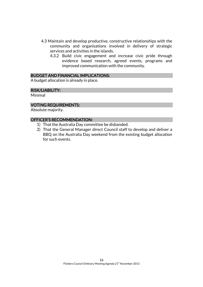- 4.3 Maintain and develop productive, constructive relationships with the community and organisations involved in delivery of strategic services and activities in the islands.
	- 4.3.2 Build civic engagement and increase civic pride through evidence based research, agreed events, programs and improved communication with the community.

#### BUDGET AND FINANCIAL IMPLICATIONS:

A budget allocation is already in place.

#### RISK/LIABILITY:

Minimal

#### VOTING REQUIREMENTS:

Absolute majority.

#### OFFICER'S RECOMMENDATION:

- 1) That the Australia Day committee be disbanded.
- 2) That the General Manager direct Council staff to develop and deliver a BBQ on the Australia Day weekend from the existing budget allocation for such events.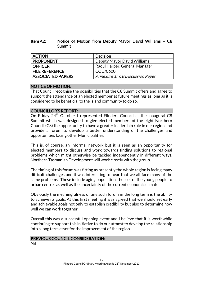## Item A2: Notice of Motion from Deputy Mayor David Williams – C8 Summit

| <b>ACTION</b>            | <b>Decision</b>                 |
|--------------------------|---------------------------------|
| <b>PROPONENT</b>         | Deputy Mayor David Williams     |
| <b>OFFICER</b>           | Raoul Harper, General Manager   |
| <b>FILE REFERENCE</b>    | COU/0600                        |
| <b>ASSOCIATED PAPERS</b> | Annexure 1: C8 Discussion Paper |

# NOTICE OF MOTION:

That Council recognise the possibilities that the C8 Summit offers and agree to support the attendance of an elected member at future meetings as long as it is considered to be beneficial to the island community to do so.

### COUNCILLOR'S REPORT:

On Friday 24<sup>th</sup> October I represented Flinders Council at the inaugural C8 Summit which was designed to give elected members of the eight Northern Council (C8) the opportunity to have a greater leadership role in our region and provide a forum to develop a better understanding of the challenges and opportunities facing other Municipalities.

This is, of course, an informal network but it is seen as an opportunity for elected members to discuss and work towards finding solutions to regional problems which might otherwise be tackled independently in different ways. Northern Tasmanian Development will work closely with the group.

The timing of this forum was fitting as presently the whole region is facing many difficult challenges and it was interesting to hear that we all face many of the same problems. These include aging population, the loss of the young people to urban centres as well as the uncertainty of the current economic climate.

Obviously the meaningfulness of any such forum in the long term is the ability to achieve its goals. At this first meeting it was agreed that we should set early and achievable goals not only to establish credibility but also to determine how well we can work together.

Overall this was a successful opening event and I believe that it is worthwhile continuing to support this initiative to do our utmost to develop the relationship into a long term asset for the improvement of the region.

#### PREVIOUS COUNCIL CONSIDERATION:

Nil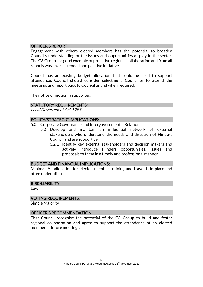# OFFICER'S REPORT:

Engagement with others elected members has the potential to broaden Council's understanding of the issues and opportunities at play in the sector. The C8 Group is a good example of proactive regional collaboration and from all reports was a well attended and positive initiative.

Council has an existing budget allocation that could be used to support attendance. Council should consider selecting a Councillor to attend the meetings and report back to Council as and when required.

The notice of motion is supported.

#### STATUTORY REQUIREMENTS:

Local Government Act 1993

#### POLICY/STRATEGIC IMPLICATIONS:

- 5.0 Corporate Governance and Intergovernmental Relations
	- 5.2 Develop and maintain an influential network of external stakeholders who understand the needs and direction of Flinders Council and are supportive
		- 5.2.1 Identify key external stakeholders and decision makers and actively introduce Flinders opportunities, issues and proposals to them in a timely and professional manner

#### BUDGET AND FINANCIAL IMPLICATIONS:

Minimal. An allocation for elected member training and travel is in place and often under utilised.

#### RISK/LIABILITY:

Low

#### VOTING REQUIREMENTS:

Simple Majority

#### OFFICER'S RECOMMENDATION:

That Council recognise the potential of the C8 Group to build and foster regional collaboration and agree to support the attendance of an elected member at future meetings.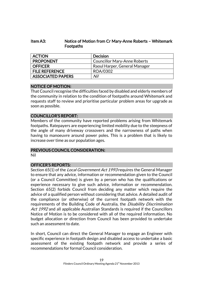# Item A3: Notice of Motion from Cr Mary-Anne Roberts – Whitemark Footpaths

| <b>ACTION</b>         | <b>Decision</b>                     |
|-----------------------|-------------------------------------|
| <b>PROPONENT</b>      | <b>Councillor Mary-Anne Roberts</b> |
| OFFICER               | Raoul Harper, General Manager       |
| <b>FILE REFERENCE</b> | ROA/0302                            |
| ASSOCIATED PAPERS     | Nil                                 |

### NOTICE OF MOTION:

That Council recognise the difficulties faced by disabled and elderly members of the community in relation to the condition of footpaths around Whitemark and requests staff to review and prioritise particular problem areas for upgrade as soon as possible.

### COUNCILLOR'S REPORT:

Members of the community have reported problems arising from Whitemark footpaths. Ratepayers are experiencing limited mobility due to the steepness of the angle of many driveway crossovers and the narrowness of paths when having to manoeuvre around power poles. This is a problem that is likely to increase over time as our population ages.

# PREVIOUS COUNCIL CONSIDERATION:

Nil

# OFFICER'S REPORTS:

Section 65(1) of the *Local Government Act 1993* requires the General Manager to ensure that any advice, information or recommendation given to the Council (or a Council Committee) is given by a person who has the qualifications or experience necessary to give such advice, information or recommendation. Section 65(2) forbids Council from deciding any matter which require the advice of a qualified person without considering that advice. A detailed audit of the compliance (or otherwise) of the current footpath network with the requirements of the Building Code of Australia, the *Disability Discrimination* Act 1992 and all applicable Australian Standards is required if the Councillors Notice of Motion is to be considered with all of the required information. No budget allocation or direction from Council has been provided to undertake such an assessment to date.

In short, Council can direct the General Manager to engage an Engineer with specific experience in footpath design and disabled access to undertake a basic assessment of the existing footpath network and provide a series of recommendations for formal Council consideration.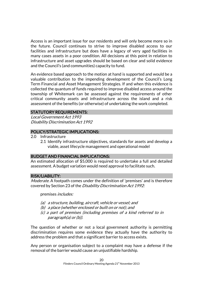Access is an important issue for our residents and will only become more so in the future. Council continues to strive to improve disabled access to our facilities and infrastructure but does have a legacy of very aged facilities in many cases assets in a poor condition. All decisions at this point in relation to infrastructure and asset upgrades should be based on clear and solid evidence and the Council's (and communities) capacity to fund.

An evidence based approach to the motion at hand is supported and would be a valuable contribution to the impending development of the Council's Long Term Financial and Asset Management Strategies. If and when this evidence is collected the quantum of funds required to improve disabled access around the township of Whitemark can be assessed against the requirements of other critical community assets and infrastructure across the island and a risk assessment of the benefits (or otherwise) of undertaking the work completed.

### STATUTORY REQUIREMENTS:

Local Government Act 1993 Disability Discrimination Act 1992

#### POLICY/STRATEGIC IMPLICATIONS:

- 2.0 Infrastructure
	- 2.1 Identify infrastructure objectives, standards for assets and develop a viable, asset lifecycle management and operational model

#### BUDGET AND FINANCIAL IMPLICATIONS:

An estimated allocation of \$5,000 is required to undertake a full and detailed assessment. A budget variation would need approval to facilitate such.

#### RISK/LIABILITY:

Moderate. A footpath comes under the definition of 'premises' and is therefore covered by Section 23 of the Disability Discrimination Act 1992:

premises includes:

- (a) a structure, building, aircraft, vehicle or vessel; and
- (b) a place (whether enclosed or built on or not); and
- (c) a part of premises (including premises of a kind referred to in paragraph(a) or (b)).

The question of whether or not a local government authority is permitting discrimination requires some evidence they actually have the authority to address the problem and that a significant barrier to access exists.

Any person or organisation subject to a complaint may have a defense if the removal of the barrier would cause an unjustifiable hardship.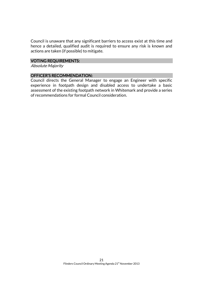Council is unaware that any significant barriers to access exist at this time and hence a detailed, qualified audit is required to ensure any risk is known and actions are taken (if possible) to mitigate.

### VOTING REQUIREMENTS:

Absolute Majority

### OFFICER'S RECOMMENDATION:

Council directs the General Manager to engage an Engineer with specific experience in footpath design and disabled access to undertake a basic assessment of the existing footpath network in Whitemark and provide a series of recommendations for formal Council consideration.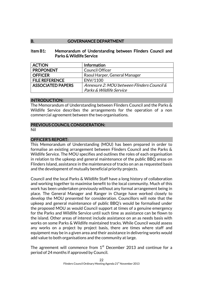## B. **GOVERNANCE DEPARTMENT**

#### Item B1: Memorandum of Understanding between Flinders Council and Parks & Wildlife Service

| <b>ACTION</b>            | Information                                |
|--------------------------|--------------------------------------------|
| <b>PROPONENT</b>         | <b>Council Officer</b>                     |
| <b>OFFICER</b>           | Raoul Harper, General Manager              |
| <b>FILE REFERENCE</b>    | ENV/1100                                   |
| <b>ASSOCIATED PAPERS</b> | Annexure 2: MOU between Flinders Council & |
|                          | Parks & Wildlife Service                   |

#### INTRODUCTION:

The Memorandum of Understanding between Flinders Council and the Parks & Wildlife Service describes the arrangements for the operation of a non commercial agreement between the two organisations.

### PREVIOUS COUNCIL CONSIDERATION:

Nil

# OFFICER'S REPORT:

This Memorandum of Understanding (MOU) has been prepared in order to formalise an existing arrangement between Flinders Council and the Parks & Wildlife Service. The MOU specifies and outlines the roles of each organisation in relation to the upkeep and general maintenance of the public BBQ areas on Flinders Island, assistance in the maintenance of tracks on an as requested basis and the development of mutually beneficial priority projects.

Council and the local Parks & Wildlife Staff have a long history of collaboration and working together to maximise benefit to the local community. Much of this work has been undertaken previously without any formal arrangement being in place. The General Manager and Ranger in Charge have worked closely to develop the MOU presented for consideration. Councillors will note that the upkeep and general maintenance of public BBQ's would be formalised under the proposed MOU as would Council support at times of a genuine emergency for the Parks and Wildlife Service until such time as assistance can be flown to the island. Other areas of interest include assistance on an as needs basis with works on some Parks & Wildlife maintained tracks. While Council would assess any works on a project by project basis, there are times where staff and equipment may be in a given area and their assistance in delivering works would add value to both organisations and the community at large.

The agreement will commence from  $1<sup>st</sup>$  December 2013 and continue for a period of 24 months if approved by Council.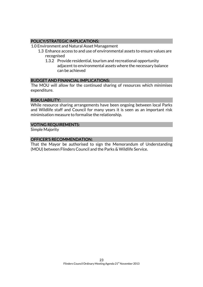# POLICY/STRATEGIC IMPLICATIONS:

- 1.0 Environment and Natural Asset Management
	- 1.3 Enhance access to and use of environmental assets to ensure values are recognised
		- 1.3.2 Provide residential, tourism and recreational opportunity adjacent to environmental assets where the necessary balance can be achieved

### BUDGET AND FINANCIAL IMPLICATIONS:

The MOU will allow for the continued sharing of resources which minimises expenditure.

# RISK/LIABILITY:

While resource sharing arrangements have been ongoing between local Parks and Wildlife staff and Council for many years it is seen as an important risk minimisation measure to formalise the relationship.

### VOTING REQUIREMENTS:

Simple Majority

### OFFICER'S RECOMMENDATION:

That the Mayor be authorised to sign the Memorandum of Understanding (MOU) between Flinders Council and the Parks & Wildlife Service.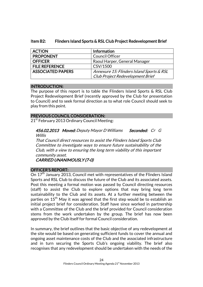| <b>ACTION</b>            | Information                               |
|--------------------------|-------------------------------------------|
| <b>PROPONENT</b>         | <b>Council Officer</b>                    |
| <b>OFFICER</b>           | Raoul Harper, General Manager             |
| <b>FILE REFERENCE</b>    | CSV/1500                                  |
| <b>ASSOCIATED PAPERS</b> | Annexure 15: Flinders Island Sports & RSL |
|                          | Club Project Redevelopment Brief          |

## Item B2: Flinders Island Sports & RSL Club Project Redevelopment Brief

### INTRODUCTION:

The purpose of this report is to table the Flinders Island Sports & RSL Club Project Redevelopment Brief (recently approved by the Club for presentation to Council) and to seek formal direction as to what role Council should seek to play from this point.

### PREVIOUS COUNCIL CONSIDERATION:

21<sup>st</sup> February 2013 Ordinary Council Meeting:

456.02.2013 Moved: Deputy Mayor D Williams Seconded: Cr G Willis

That Council direct resources to assist the Flinders Island Sports Club Committee to investigate ways to ensure future sustainability of the Club, with a view to ensuring the long term viability of this important community asset.

CARRIED UNANIMOUSLY (7-0)

# OFFICER'S REPORT:

On  $17<sup>th</sup>$  January 2013, Council met with representatives of the Flinders Island Sports and RSL Club to discuss the future of the Club and its associated assets. Post this meeting a formal motion was passed by Council directing resources (staff) to assist the Club to explore options that may bring long term sustainability to the Club and its assets. At a further meeting between the parties on 15<sup>th</sup> May it was agreed that the first step would be to establish an initial project brief for consideration. Staff have since worked in partnership with a Committee of the Club and the brief provided for Council consideration stems from the work undertaken by the group. The brief has now been approved by the Club itself for formal Council consideration.

In summary, the brief outlines that the basic objective of any redevelopment at the site would be based on generating sufficient funds to cover the annual and ongoing asset maintenance costs of the Club and the associated infrastructure and in turn securing the Sports Club's ongoing viability. The brief also recognises that any redevelopment should be undertaken with the needs of the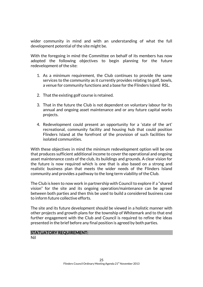wider community in mind and with an understanding of what the full development potential of the site might be.

With the foregoing in mind the Committee on behalf of its members has now adopted the following objectives to begin planning for the future redevelopment of the site:

- 1. As a minimum requirement, the Club continues to provide the same services to the community as it currently provides relating to golf, bowls, a venue for community functions and a base for the Flinders Island RSL.
- 2. That the existing golf course is retained.
- 3. That in the future the Club is not dependent on voluntary labour for its annual and ongoing asset maintenance and or any future capital works projects.
- 4. Redevelopment could present an opportunity for a 'state of the art' recreational, community facility and housing hub that could position Flinders Island at the forefront of the provision of such facilities for isolated communities.

With these objectives in mind the minimum redevelopment option will be one that produces sufficient additional income to cover the operational and ongoing asset maintenance costs of the club, its buildings and grounds. A clear vision for the future is now required which is one that is also based on a strong and realistic business plan that meets the wider needs of the Flinders Island community and provides a pathway to the long term viability of the Club.

The Club is keen to now work in partnership with Council to explore if a "shared vision" for the site and its ongoing operation/maintenance can be agreed between both parties and then this be used to build a considered business case to inform future collective efforts.

The site and its future development should be viewed in a holistic manner with other projects and growth plans for the township of Whitemark and to that end further engagement with the Club and Council is required to refine the ideas presented in the brief before any final position is agreed by both parties.

STATUATORY REQUIREMENT:

Nil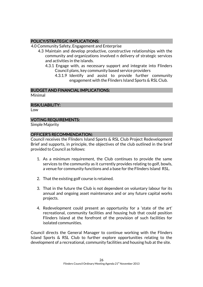# POLICY/STRATEGIC IMPLICATIONS:

4.0 Community Safety, Engagement and Enterprise

- 4.3 Maintain and develop productive, constructive relationships with the community and organizations involved n delivery of strategic services and activities in the islands.
	- 4.3.1 Engage with, as necessary support and integrate into Flinders Council plans, key community based service providers
		- 4.3.1.9 Identify and assist to provide further community engagement with the Flinders Island Sports & RSL Club.

# BUDGET AND FINANCIAL IMPLICATIONS:

Minimal

# RISK/LIABILITY:

Low

# VOTING REQUIREMENTS:

Simple Majority

# OFFICER'S RECOMMENDATION:

Council receives the Flinders Island Sports & RSL Club Project Redevelopment Brief and supports, in principle, the objectives of the club outlined in the brief provided to Council as follows:

- 1. As a minimum requirement, the Club continues to provide the same services to the community as it currently provides relating to golf, bowls, a venue for community functions and a base for the Flinders Island RSL.
- 2. That the existing golf course is retained.
- 3. That in the future the Club is not dependent on voluntary labour for its annual and ongoing asset maintenance and or any future capital works projects.
- 4. Redevelopment could present an opportunity for a 'state of the art' recreational, community facilities and housing hub that could position Flinders Island at the forefront of the provision of such facilities for isolated communities.

Council directs the General Manager to continue working with the Flinders Island Sports & RSL Club to further explore opportunities relating to the development of a recreational, community facilities and housing hub at the site.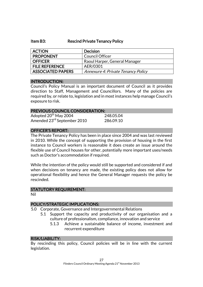#### Item B3: Rescind Private Tenancy Policy

| <b>ACTION</b>            | <b>Decision</b>                    |
|--------------------------|------------------------------------|
| <b>PROPONENT</b>         | <b>Council Officer</b>             |
| <b>OFFICER</b>           | Raoul Harper, General Manager      |
| <b>FILE REFERENCE</b>    | AER/0301                           |
| <b>ASSOCIATED PAPERS</b> | Annexure 4: Private Tenancy Policy |

#### INTRODUCTION:

Council's Policy Manual is an important document of Council as it provides direction to Staff, Management and Councillors. Many of the policies are required by, or relate to, legislation and in most instances help manage Council's exposure to risk.

# PREVIOUS COUNCIL CONSIDERATION:

| Adopted 20 <sup>th</sup> May 2004       | 248.05.04 |
|-----------------------------------------|-----------|
| Amended 23 <sup>rd</sup> September 2010 | 286.09.10 |

### OFFICER'S REPORT:

The Private Tenancy Policy has been in place since 2004 and was last reviewed in 2010. While the concept of supporting the provision of housing in the first instance to Council workers is reasonable it does create an issue around the flexible use of Council houses for other, potentially more important uses/needs such as Doctor's accommodation if required.

While the intention of the policy would still be supported and considered if and when decisions on tenancy are made, the existing policy does not allow for operational flexibility and hence the General Manager requests the policy be rescinded.

#### STATUTORY REQUIREMENT:

Nil

# POLICY/STRATEGIC IMPLICATIONS:

- 5.0 Corporate, Governance and Intergovernmental Relations
	- 5.1 Support the capacity and productivity of our organisation and a culture of professionalism, compliance, innovation and service
		- 5.1.3 Achieve a sustainable balance of income, investment and recurrent expenditure

#### RISK/LIABILITY:

By rescinding this policy, Council policies will be in line with the current legislation.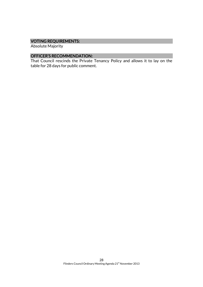# VOTING REQUIREMENTS:

Absolute Majority

# OFFICER'S RECOMMENDATION:

That Council rescinds the Private Tenancy Policy and allows it to lay on the table for 28 days for public comment.